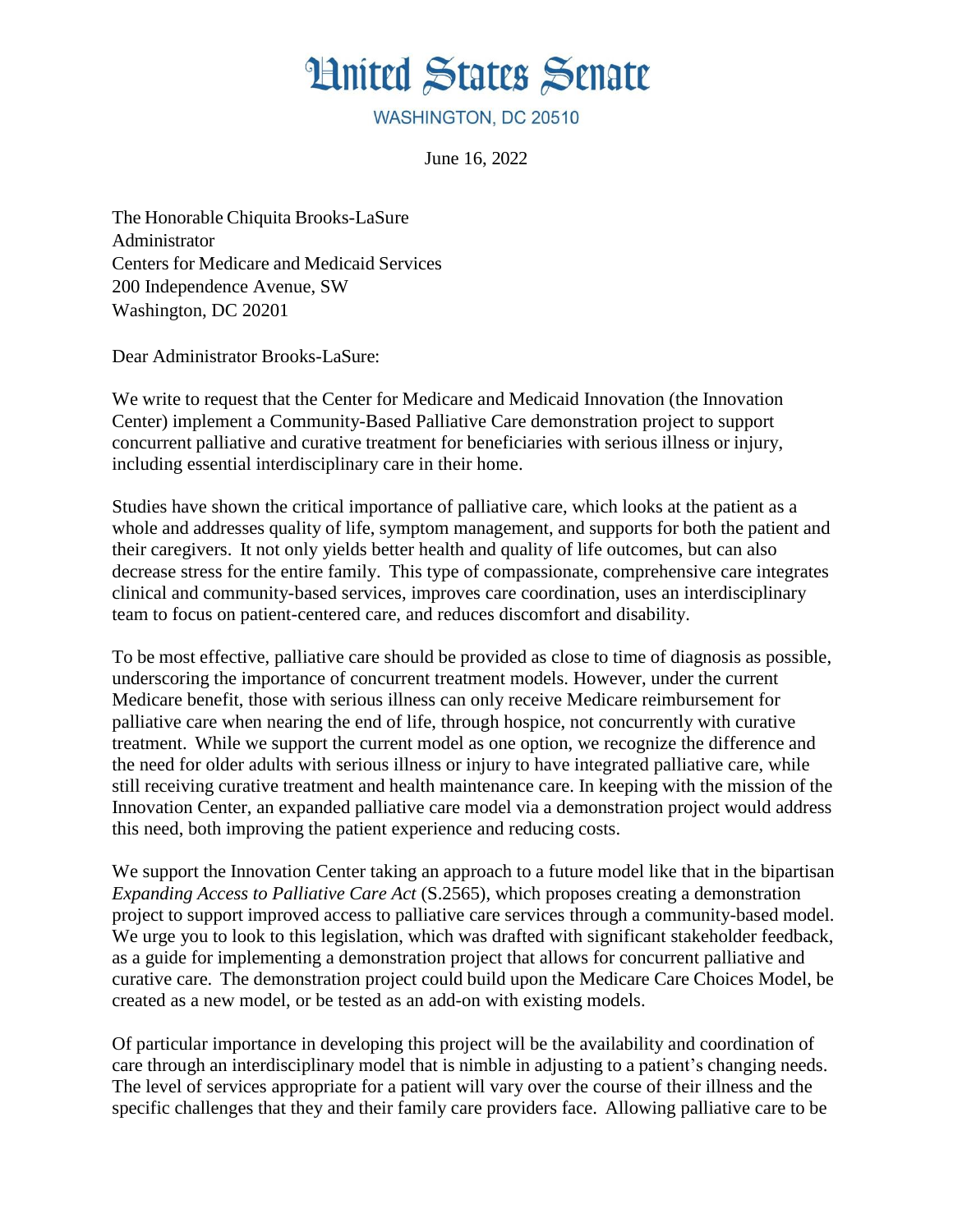## **Hnited States Senate**

WASHINGTON, DC 20510

June 16, 2022

The Honorable Chiquita Brooks-LaSure Administrator Centers for Medicare and Medicaid Services 200 Independence Avenue, SW Washington, DC 20201

Dear Administrator Brooks-LaSure:

We write to request that the Center for Medicare and Medicaid Innovation (the Innovation Center) implement a Community-Based Palliative Care demonstration project to support concurrent palliative and curative treatment for beneficiaries with serious illness or injury, including essential interdisciplinary care in their home.

Studies have shown the critical importance of palliative care, which looks at the patient as a whole and addresses quality of life, symptom management, and supports for both the patient and their caregivers. It not only yields better health and quality of life outcomes, but can also decrease stress for the entire family. This type of compassionate, comprehensive care integrates clinical and community-based services, improves care coordination, uses an interdisciplinary team to focus on patient-centered care, and reduces discomfort and disability.

To be most effective, palliative care should be provided as close to time of diagnosis as possible, underscoring the importance of concurrent treatment models. However, under the current Medicare benefit, those with serious illness can only receive Medicare reimbursement for palliative care when nearing the end of life, through hospice, not concurrently with curative treatment. While we support the current model as one option, we recognize the difference and the need for older adults with serious illness or injury to have integrated palliative care, while still receiving curative treatment and health maintenance care. In keeping with the mission of the Innovation Center, an expanded palliative care model via a demonstration project would address this need, both improving the patient experience and reducing costs.

We support the Innovation Center taking an approach to a future model like that in the bipartisan *Expanding Access to Palliative Care Act* (S.2565), which proposes creating a demonstration project to support improved access to palliative care services through a community-based model. We urge you to look to this legislation, which was drafted with significant stakeholder feedback, as a guide for implementing a demonstration project that allows for concurrent palliative and curative care. The demonstration project could build upon the Medicare Care Choices Model, be created as a new model, or be tested as an add-on with existing models.

Of particular importance in developing this project will be the availability and coordination of care through an interdisciplinary model that is nimble in adjusting to a patient's changing needs. The level of services appropriate for a patient will vary over the course of their illness and the specific challenges that they and their family care providers face. Allowing palliative care to be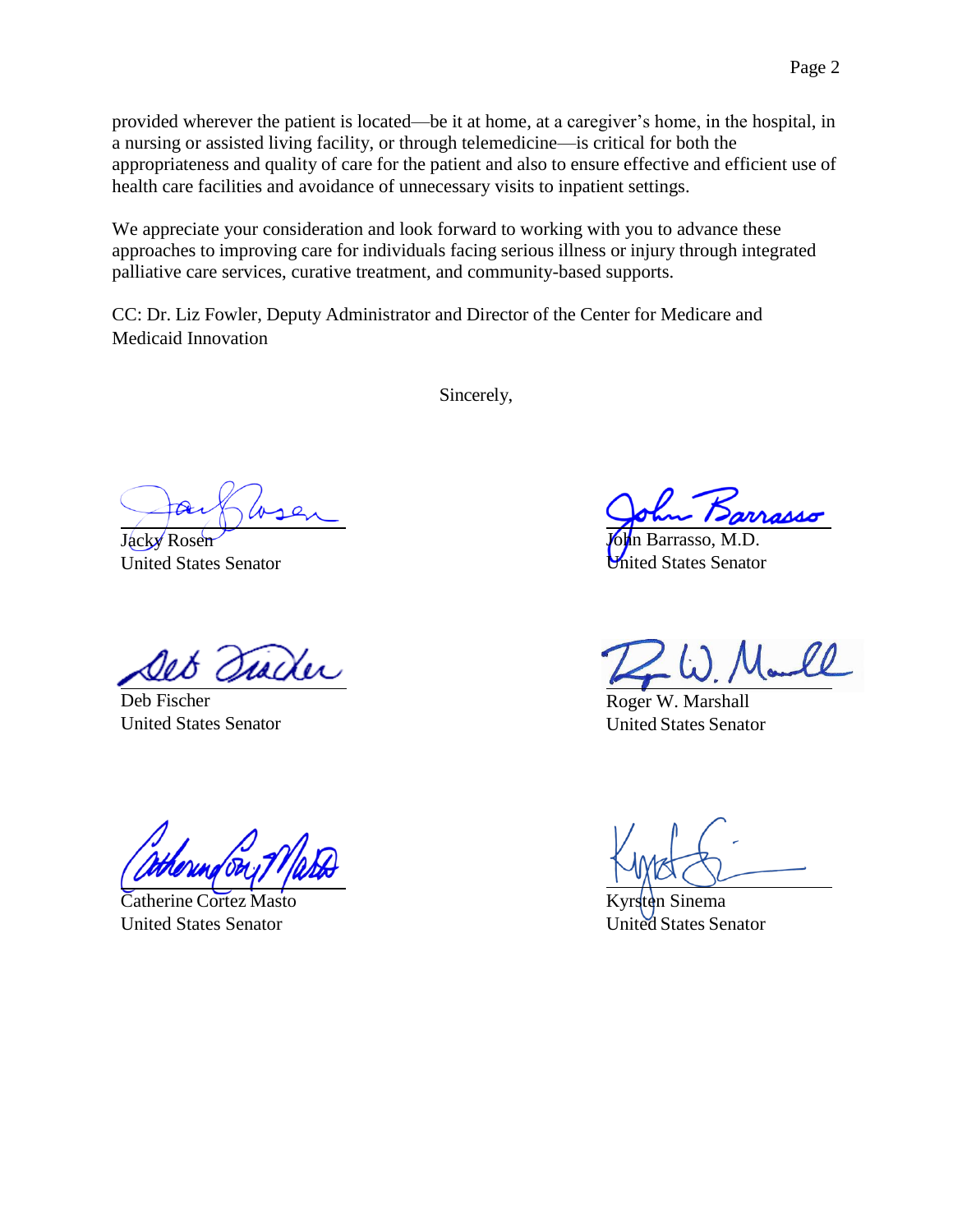provided wherever the patient is located—be it at home, at a caregiver's home, in the hospital, in a nursing or assisted living facility, or through telemedicine—is critical for both the appropriateness and quality of care for the patient and also to ensure effective and efficient use of health care facilities and avoidance of unnecessary visits to inpatient settings.

We appreciate your consideration and look forward to working with you to advance these approaches to improving care for individuals facing serious illness or injury through integrated palliative care services, curative treatment, and community-based supports.

CC: Dr. Liz Fowler, Deputy Administrator and Director of the Center for Medicare and Medicaid Innovation

Sincerely,

Jacky Rosen United States Senator

racter

Deb Fischer United States Senator

Catherine Cortez Masto United States Senator

John Barrasso, M.D. United States Senator

Roger W. Marshall United States Senator

Sinema United States Senator